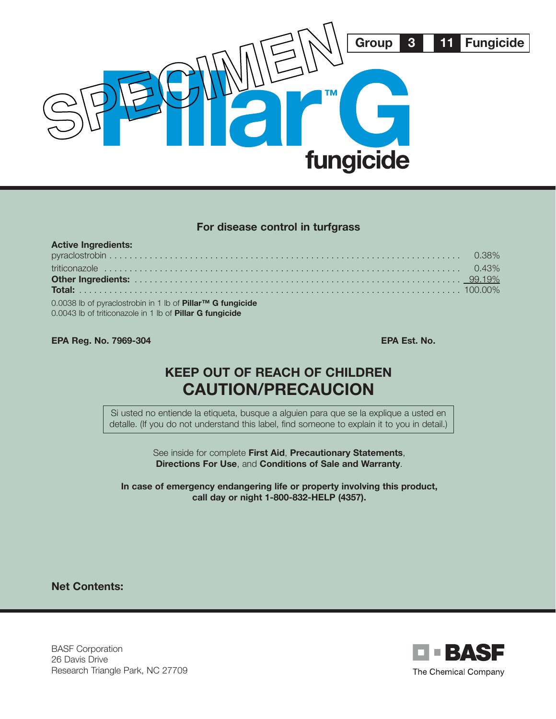

#### **For disease control in turfgrass**

| <b>Active Ingredients:</b>                                                                                                    |  |
|-------------------------------------------------------------------------------------------------------------------------------|--|
|                                                                                                                               |  |
|                                                                                                                               |  |
|                                                                                                                               |  |
|                                                                                                                               |  |
| 0.0038 lb of pyraclostrobin in 1 lb of Pillar™ G fungicide<br>0.0043 lb of triticonazole in 1 lb of <b>Pillar G fungicide</b> |  |

#### **EPA Reg. No. 7969-304 EPA Est. No. 2008**

# **KEEP OUT OF REACH OF CHILDREN CAUTION/PRECAUCION**

Si usted no entiende la etiqueta, busque a alguien para que se la explique a usted en detalle. (If you do not understand this label, find someone to explain it to you in detail.)

> See inside for complete **First Aid**, **Precautionary Statements**, **Directions For Use**, and **Conditions of Sale and Warranty**.

**In case of emergency endangering life or property involving this product, call day or night 1-800-832-HELP (4357).**

**Net Contents:**

BASF Corporation 26 Davis Drive Research Triangle Park, NC 27709

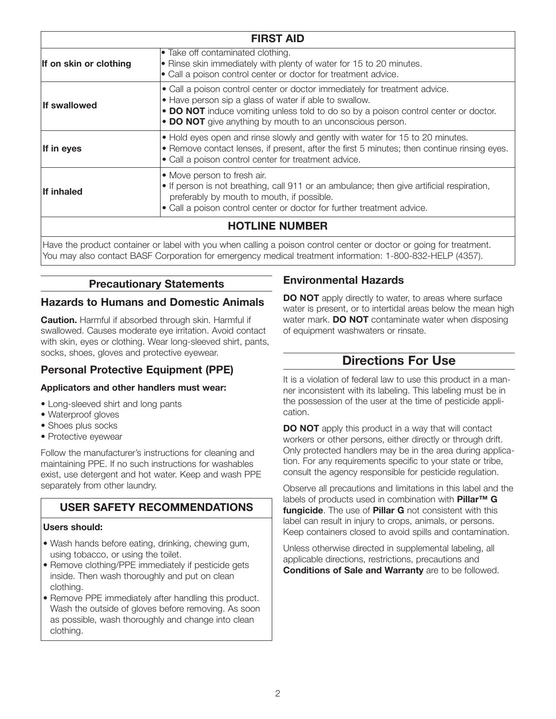| <b>FIRST AID</b>       |                                                                                                                                                                                                                                                                                          |  |  |  |  |
|------------------------|------------------------------------------------------------------------------------------------------------------------------------------------------------------------------------------------------------------------------------------------------------------------------------------|--|--|--|--|
| If on skin or clothing | • Take off contaminated clothing.<br>• Rinse skin immediately with plenty of water for 15 to 20 minutes.<br>• Call a poison control center or doctor for treatment advice.                                                                                                               |  |  |  |  |
| <b>If swallowed</b>    | • Call a poison control center or doctor immediately for treatment advice.<br>• Have person sip a glass of water if able to swallow.<br>• DO NOT induce vomiting unless told to do so by a poison control center or doctor.<br>• DO NOT give anything by mouth to an unconscious person. |  |  |  |  |
| If in eyes             | • Hold eyes open and rinse slowly and gently with water for 15 to 20 minutes.<br>• Remove contact lenses, if present, after the first 5 minutes; then continue rinsing eyes.<br>• Call a poison control center for treatment advice.                                                     |  |  |  |  |
| If inhaled             | • Move person to fresh air.<br>• If person is not breathing, call 911 or an ambulance; then give artificial respiration,<br>preferably by mouth to mouth, if possible.<br>· Call a poison control center or doctor for further treatment advice.                                         |  |  |  |  |
| <b>HOTLINE NUMBER</b>  |                                                                                                                                                                                                                                                                                          |  |  |  |  |
|                        | المتحدث والمستحقق والمستحاث والمستحل والمستحد والمحاجب والمستحدث والمستحدث والمارا والمحامين والمتحدث والمستحدث والمستحدث                                                                                                                                                                |  |  |  |  |

Have the product container or label with you when calling a poison control center or doctor or going for treatment. You may also contact BASF Corporation for emergency medical treatment information: 1-800-832-HELP (4357).

# **Precautionary Statements**

### **Hazards to Humans and Domestic Animals**

**Caution.** Harmful if absorbed through skin. Harmful if swallowed. Causes moderate eye irritation. Avoid contact with skin, eyes or clothing. Wear long-sleeved shirt, pants, socks, shoes, gloves and protective eyewear.

# **Personal Protective Equipment (PPE)**

### **Applicators and other handlers must wear:**

- Long-sleeved shirt and long pants
- Waterproof gloves
- Shoes plus socks
- Protective eyewear

Follow the manufacturer's instructions for cleaning and maintaining PPE. If no such instructions for washables exist, use detergent and hot water. Keep and wash PPE separately from other laundry.

# **USER SAFETY RECOMMENDATIONS**

#### **Users should:**

- Wash hands before eating, drinking, chewing gum, using tobacco, or using the toilet.
- Remove clothing/PPE immediately if pesticide gets inside. Then wash thoroughly and put on clean clothing.
- Remove PPE immediately after handling this product. Wash the outside of gloves before removing. As soon as possible, wash thoroughly and change into clean clothing.

# **Environmental Hazards**

**DO NOT** apply directly to water, to areas where surface water is present, or to intertidal areas below the mean high water mark. **DO NOT** contaminate water when disposing of equipment washwaters or rinsate.

# **Directions For Use**

It is a violation of federal law to use this product in a manner inconsistent with its labeling. This labeling must be in the possession of the user at the time of pesticide application.

**DO NOT** apply this product in a way that will contact workers or other persons, either directly or through drift. Only protected handlers may be in the area during application. For any requirements specific to your state or tribe, consult the agency responsible for pesticide regulation.

Observe all precautions and limitations in this label and the labels of products used in combination with **Pillar™ G fungicide**. The use of **Pillar G** not consistent with this label can result in injury to crops, animals, or persons. Keep containers closed to avoid spills and contamination.

Unless otherwise directed in supplemental labeling, all applicable directions, restrictions, precautions and **Conditions of Sale and Warranty** are to be followed.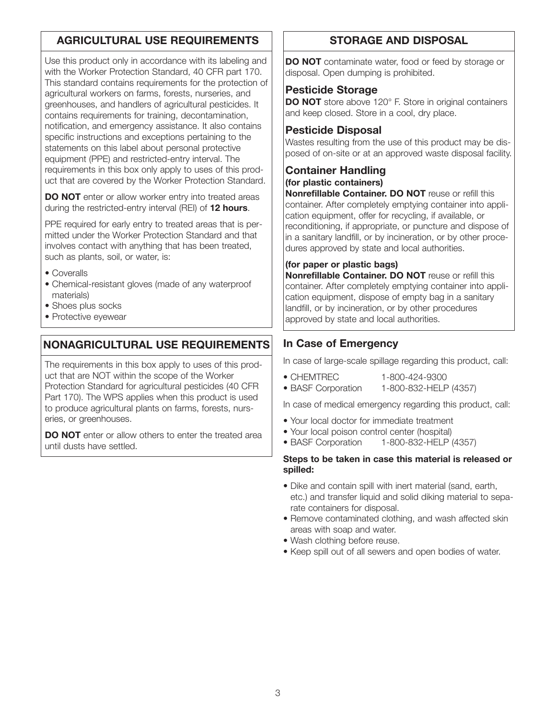# **AGRICULTURAL USE REQUIREMENTS**

Use this product only in accordance with its labeling and with the Worker Protection Standard, 40 CFR part 170. This standard contains requirements for the protection of agricultural workers on farms, forests, nurseries, and greenhouses, and handlers of agricultural pesticides. It contains requirements for training, decontamination, notification, and emergency assistance. It also contains specific instructions and exceptions pertaining to the statements on this label about personal protective equipment (PPE) and restricted-entry interval. The requirements in this box only apply to uses of this product that are covered by the Worker Protection Standard.

**DO NOT** enter or allow worker entry into treated areas during the restricted-entry interval (REI) of **12 hours**.

PPE required for early entry to treated areas that is permitted under the Worker Protection Standard and that involves contact with anything that has been treated, such as plants, soil, or water, is:

- Coveralls
- Chemical-resistant gloves (made of any waterproof materials)
- Shoes plus socks
- Protective eyewear

# **NONAGRICULTURAL USE REQUIREMENTS**

The requirements in this box apply to uses of this product that are NOT within the scope of the Worker Protection Standard for agricultural pesticides (40 CFR Part 170). The WPS applies when this product is used to produce agricultural plants on farms, forests, nurseries, or greenhouses.

**DO NOT** enter or allow others to enter the treated area until dusts have settled.

# **STORAGE AND DISPOSAL**

**DO NOT** contaminate water, food or feed by storage or disposal. Open dumping is prohibited.

#### **Pesticide Storage**

**DO NOT** store above 120° F. Store in original containers and keep closed. Store in a cool, dry place.

### **Pesticide Disposal**

Wastes resulting from the use of this product may be disposed of on-site or at an approved waste disposal facility.

## **Container Handling**

**(for plastic containers)**

**Nonrefillable Container. DO NOT** reuse or refill this container. After completely emptying container into application equipment, offer for recycling, if available, or reconditioning, if appropriate, or puncture and dispose of in a sanitary landfill, or by incineration, or by other procedures approved by state and local authorities.

#### **(for paper or plastic bags)**

**Nonrefillable Container. DO NOT** reuse or refill this container. After completely emptying container into application equipment, dispose of empty bag in a sanitary landfill, or by incineration, or by other procedures approved by state and local authorities.

# **In Case of Emergency**

In case of large-scale spillage regarding this product, call:

- CHEMTREC 1-800-424-9300
- BASF Corporation 1-800-832-HELP (4357)

In case of medical emergency regarding this product, call:

- Your local doctor for immediate treatment
- Your local poison control center (hospital)
- BASF Corporation 1-800-832-HELP (4357)

#### **Steps to be taken in case this material is released or spilled:**

- Dike and contain spill with inert material (sand, earth, etc.) and transfer liquid and solid diking material to separate containers for disposal.
- Remove contaminated clothing, and wash affected skin areas with soap and water.
- Wash clothing before reuse.
- Keep spill out of all sewers and open bodies of water.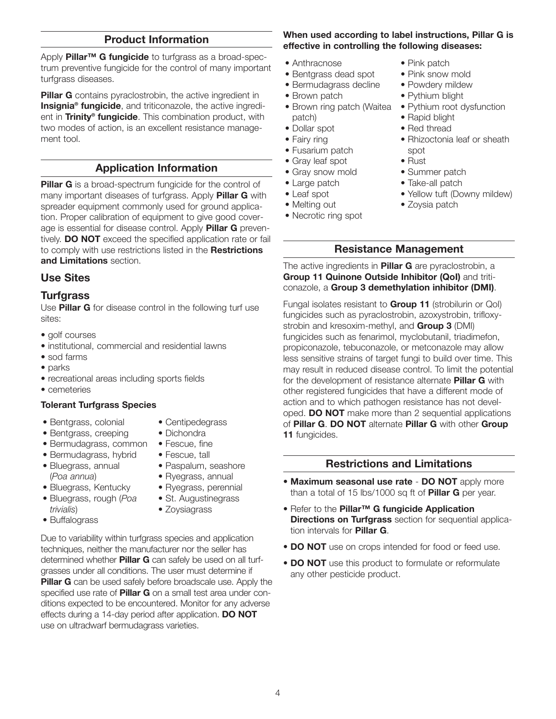### **Product Information**

Apply **Pillar™ G fungicide** to turfgrass as a broad-spectrum preventive fungicide for the control of many important turfgrass diseases.

**Pillar G** contains pyraclostrobin, the active ingredient in **Insignia® fungicide**, and triticonazole, the active ingredient in **Trinity® fungicide**. This combination product, with two modes of action, is an excellent resistance management tool.

## **Application Information**

**Pillar G** is a broad-spectrum fungicide for the control of many important diseases of turfgrass. Apply **Pillar G** with spreader equipment commonly used for ground application. Proper calibration of equipment to give good coverage is essential for disease control. Apply **Pillar G** preventively. **DO NOT** exceed the specified application rate or fail to comply with use restrictions listed in the **Restrictions and Limitations** section.

### **Use Sites**

#### **Turfgrass**

Use **Pillar G** for disease control in the following turf use sites:

- golf courses
- institutional, commercial and residential lawns
- sod farms
- parks
- recreational areas including sports fields
- cemeteries

#### **Tolerant Turfgrass Species**

• Bentgrass, colonial

• Bermudagrass, hybrid

- Bentgrass, creeping
- Fescue, fine
- - Paspalum, seashore
- Bluegrass, annual (*Poa annua*)
- Bluegrass, Kentucky • Bluegrass, rough (*Poa*
- *trivialis*)
- Buffalograss
- Ryegrass, annual • Ryegrass, perennial
- St. Augustinegrass
- Zoysiagrass

Due to variability within turfgrass species and application techniques, neither the manufacturer nor the seller has determined whether **Pillar G** can safely be used on all turfgrasses under all conditions. The user must determine if **Pillar G** can be used safely before broadscale use. Apply the specified use rate of **Pillar G** on a small test area under conditions expected to be encountered. Monitor for any adverse effects during a 14-day period after application. **DO NOT** use on ultradwarf bermudagrass varieties.

#### **When used according to label instructions, Pillar G is effective in controlling the following diseases:**

- Anthracnose
- Bentgrass dead spot
- Bermudagrass decline
- Brown patch
- Brown ring patch (Waitea patch)
- Dollar spot
- Fairy ring
- Fusarium patch
- Gray leaf spot
- Gray snow mold
- Large patch
- Leaf spot
- Melting out
- Necrotic ring spot
- Pink patch
- Pink snow mold
- Powdery mildew
- Pythium blight
- Pythium root dysfunction
- Rapid blight
- Red thread
- Rhizoctonia leaf or sheath spot
- Rust
- Summer patch
- Take-all patch
- Yellow tuft (Downy mildew)
- Zoysia patch

#### **Resistance Management**

The active ingredients in **Pillar G** are pyraclostrobin, a **Group 11 Quinone Outside Inhibitor (QoI)** and triticonazole, a **Group 3 demethylation inhibitor (DMI)**.

Fungal isolates resistant to **Group 11** (strobilurin or QoI) fungicides such as pyraclostrobin, azoxystrobin, trifloxystrobin and kresoxim-methyl, and **Group 3** (DMI) fungicides such as fenarimol, myclobutanil, triadimefon, propiconazole, tebuconazole, or metconazole may allow less sensitive strains of target fungi to build over time. This may result in reduced disease control. To limit the potential for the development of resistance alternate **Pillar G** with other registered fungicides that have a different mode of action and to which pathogen resistance has not developed. **DO NOT** make more than 2 sequential applications of **Pillar G**. **DO NOT** alternate **Pillar G** with other **Group 11** fungicides.

#### **Restrictions and Limitations**

- **Maximum seasonal use rate DO NOT** apply more than a total of 15 lbs/1000 sq ft of **Pillar G** per year.
- Refer to the **Pillar™ G fungicide Application Directions on Turfgrass** section for sequential application intervals for **Pillar G**.
- **DO NOT** use on crops intended for food or feed use.
- **DO NOT** use this product to formulate or reformulate any other pesticide product.
- Bermudagrass, common • Centipedegrass • Dichondra
	- Fescue, tall
	-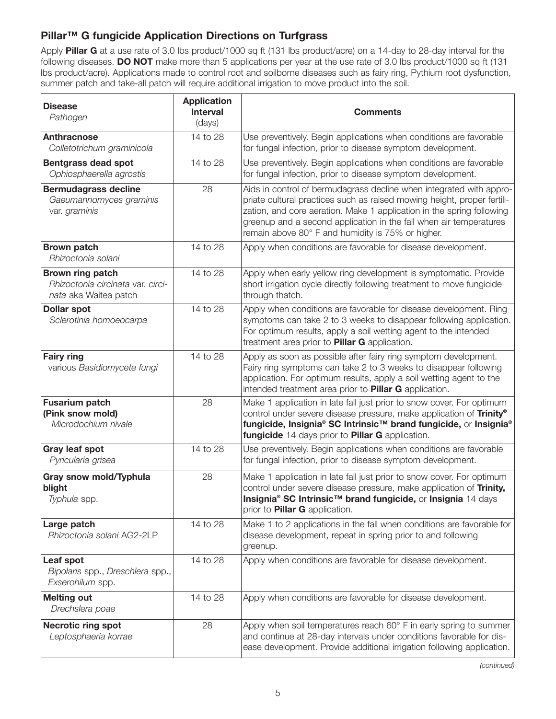# **Pillar™ G fungicide Application Directions on Turfgrass**

Apply **Pillar G** at a use rate of 3.0 lbs product/1000 sq ft (131 lbs product/acre) on a 14-day to 28-day interval for the following diseases. **DO NOT** make more than 5 applications per year at the use rate of 3.0 lbs product/1000 sq ft (131 lbs product/acre). Applications made to control root and soilborne diseases such as fairy ring, Pythium root dysfunction, summer patch and take-all patch will require additional irrigation to move product into the soil.

| <b>Disease</b><br>Pathogen                                                     | <b>Application</b><br><b>Interval</b><br>(days) | <b>Comments</b>                                                                                                                                                                                                                                                                                                                                    |  |
|--------------------------------------------------------------------------------|-------------------------------------------------|----------------------------------------------------------------------------------------------------------------------------------------------------------------------------------------------------------------------------------------------------------------------------------------------------------------------------------------------------|--|
| <b>Anthracnose</b><br>Colletotrichum graminicola                               | 14 to 28                                        | Use preventively. Begin applications when conditions are favorable<br>for fungal infection, prior to disease symptom development.                                                                                                                                                                                                                  |  |
| <b>Bentgrass dead spot</b><br>Ophiosphaerella agrostis                         | 14 to 28                                        | Use preventively. Begin applications when conditions are favorable<br>for fungal infection, prior to disease symptom development.                                                                                                                                                                                                                  |  |
| <b>Bermudagrass decline</b><br>Gaeumannomyces graminis<br>var. graminis        | 28                                              | Aids in control of bermudagrass decline when integrated with appro-<br>priate cultural practices such as raised mowing height, proper fertili-<br>zation, and core aeration. Make 1 application in the spring following<br>greenup and a second application in the fall when air temperatures<br>remain above 80° F and humidity is 75% or higher. |  |
| <b>Brown patch</b><br>Rhizoctonia solani                                       | 14 to 28                                        | Apply when conditions are favorable for disease development.                                                                                                                                                                                                                                                                                       |  |
| Brown ring patch<br>Rhizoctonia circinata var. circi-<br>nata aka Waitea patch | 14 to 28                                        | Apply when early yellow ring development is symptomatic. Provide<br>short irrigation cycle directly following treatment to move fungicide<br>through thatch.                                                                                                                                                                                       |  |
| <b>Dollar spot</b><br>Sclerotinia homoeocarpa                                  | 14 to 28                                        | Apply when conditions are favorable for disease development. Ring<br>symptoms can take 2 to 3 weeks to disappear following application.<br>For optimum results, apply a soil wetting agent to the intended<br>treatment area prior to <b>Pillar G</b> application.                                                                                 |  |
| <b>Fairy ring</b><br>various Basidiomycete fungi                               | 14 to 28                                        | Apply as soon as possible after fairy ring symptom development.<br>Fairy ring symptoms can take 2 to 3 weeks to disappear following<br>application. For optimum results, apply a soil wetting agent to the<br>intended treatment area prior to <b>Pillar G</b> application.                                                                        |  |
| <b>Fusarium patch</b><br>(Pink snow mold)<br>Microdochium nivale               | 28                                              | Make 1 application in late fall just prior to snow cover. For optimum<br>control under severe disease pressure, make application of Trinity®<br>fungicide, Insignia® SC Intrinsic™ brand fungicide, or Insignia®<br>fungicide 14 days prior to Pillar G application.                                                                               |  |
| <b>Gray leaf spot</b><br>Pyricularia grisea                                    | 14 to 28                                        | Use preventively. Begin applications when conditions are favorable<br>for fungal infection, prior to disease symptom development.                                                                                                                                                                                                                  |  |
| Gray snow mold/Typhula<br>blight<br>Typhula spp.                               | 28                                              | Make 1 application in late fall just prior to snow cover. For optimum<br>control under severe disease pressure, make application of Trinity,<br>Insignia® SC Intrinsic™ brand fungicide, or Insignia 14 days<br>prior to <b>Pillar G</b> application.                                                                                              |  |
| Large patch<br>Rhizoctonia solani AG2-2LP                                      | 14 to 28                                        | Make 1 to 2 applications in the fall when conditions are favorable for<br>disease development, repeat in spring prior to and following<br>greenup.                                                                                                                                                                                                 |  |
| Leaf spot<br>Bipolaris spp., Dreschlera spp.,<br>Exserohilum spp.              | 14 to 28                                        | Apply when conditions are favorable for disease development.                                                                                                                                                                                                                                                                                       |  |
| <b>Melting out</b><br>Drechslera poae                                          | 14 to 28                                        | Apply when conditions are favorable for disease development.                                                                                                                                                                                                                                                                                       |  |
| <b>Necrotic ring spot</b><br>Leptosphaeria korrae                              | 28                                              | Apply when soil temperatures reach 60° F in early spring to summer<br>and continue at 28-day intervals under conditions favorable for dis-<br>ease development. Provide additional irrigation following application.                                                                                                                               |  |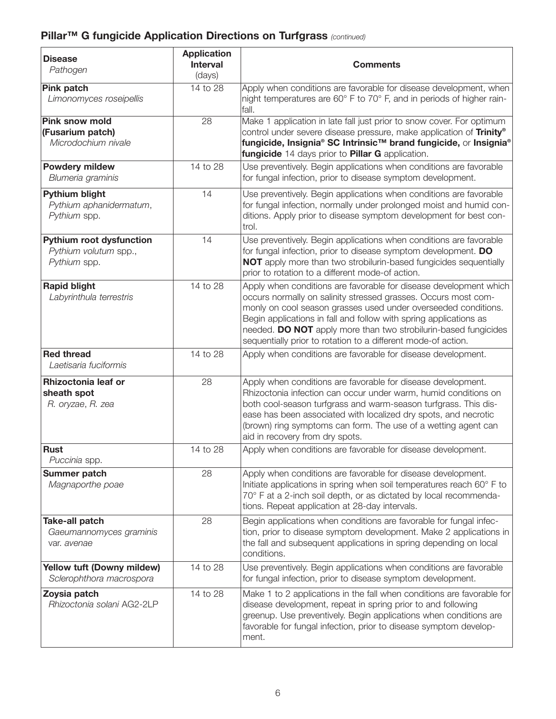# **Pillar™ G fungicide Application Directions on Turfgrass** *(continued)*

| <b>Disease</b><br>Pathogen                                               | <b>Application</b><br><b>Interval</b><br>(days) | <b>Comments</b>                                                                                                                                                                                                                                                                                                                                                                                                |  |  |
|--------------------------------------------------------------------------|-------------------------------------------------|----------------------------------------------------------------------------------------------------------------------------------------------------------------------------------------------------------------------------------------------------------------------------------------------------------------------------------------------------------------------------------------------------------------|--|--|
| <b>Pink patch</b><br>Limonomyces roseipellis                             | 14 to 28                                        | Apply when conditions are favorable for disease development, when<br>night temperatures are 60° F to 70° F, and in periods of higher rain-<br>fall.                                                                                                                                                                                                                                                            |  |  |
| <b>Pink snow mold</b><br>(Fusarium patch)<br>Microdochium nivale         | $\overline{28}$                                 | Make 1 application in late fall just prior to snow cover. For optimum<br>control under severe disease pressure, make application of Trinity®<br>fungicide, Insignia® SC Intrinsic™ brand fungicide, or Insignia®<br>fungicide 14 days prior to Pillar G application.                                                                                                                                           |  |  |
| <b>Powdery mildew</b><br>Blumeria graminis                               | 14 to 28                                        | Use preventively. Begin applications when conditions are favorable<br>for fungal infection, prior to disease symptom development.                                                                                                                                                                                                                                                                              |  |  |
| Pythium blight<br>Pythium aphanidermatum,<br>Pythium spp.                | 14                                              | Use preventively. Begin applications when conditions are favorable<br>for fungal infection, normally under prolonged moist and humid con-<br>ditions. Apply prior to disease symptom development for best con-<br>trol.                                                                                                                                                                                        |  |  |
| <b>Pythium root dysfunction</b><br>Pythium volutum spp.,<br>Pythium spp. | 14                                              | Use preventively. Begin applications when conditions are favorable<br>for fungal infection, prior to disease symptom development. DO<br>NOT apply more than two strobilurin-based fungicides sequentially<br>prior to rotation to a different mode-of action.                                                                                                                                                  |  |  |
| <b>Rapid blight</b><br>Labyrinthula terrestris                           | 14 to 28                                        | Apply when conditions are favorable for disease development which<br>occurs normally on salinity stressed grasses. Occurs most com-<br>monly on cool season grasses used under overseeded conditions.<br>Begin applications in fall and follow with spring applications as<br>needed. DO NOT apply more than two strobilurin-based fungicides<br>sequentially prior to rotation to a different mode-of action. |  |  |
| <b>Red thread</b><br>Laetisaria fuciformis                               | 14 to 28                                        | Apply when conditions are favorable for disease development.                                                                                                                                                                                                                                                                                                                                                   |  |  |
| Rhizoctonia leaf or<br>sheath spot<br>R. oryzae, R. zea                  | 28                                              | Apply when conditions are favorable for disease development.<br>Rhizoctonia infection can occur under warm, humid conditions on<br>both cool-season turfgrass and warm-season turfgrass. This dis-<br>ease has been associated with localized dry spots, and necrotic<br>(brown) ring symptoms can form. The use of a wetting agent can<br>aid in recovery from dry spots.                                     |  |  |
| <b>Rust</b><br>Puccinia spp.                                             | 14 to 28                                        | Apply when conditions are favorable for disease development.                                                                                                                                                                                                                                                                                                                                                   |  |  |
| Summer patch<br>Magnaporthe poae                                         | 28                                              | Apply when conditions are favorable for disease development.<br>Initiate applications in spring when soil temperatures reach 60° F to<br>70° F at a 2-inch soil depth, or as dictated by local recommenda-<br>tions. Repeat application at 28-day intervals.                                                                                                                                                   |  |  |
| <b>Take-all patch</b><br>Gaeumannomyces graminis<br>var, avenae          | 28                                              | Begin applications when conditions are favorable for fungal infec-<br>tion, prior to disease symptom development. Make 2 applications in<br>the fall and subsequent applications in spring depending on local<br>conditions.                                                                                                                                                                                   |  |  |
| Yellow tuft (Downy mildew)<br>Sclerophthora macrospora                   | 14 to 28                                        | Use preventively. Begin applications when conditions are favorable<br>for fungal infection, prior to disease symptom development.                                                                                                                                                                                                                                                                              |  |  |
| Zoysia patch<br>Rhizoctonia solani AG2-2LP                               | 14 to 28                                        | Make 1 to 2 applications in the fall when conditions are favorable for<br>disease development, repeat in spring prior to and following<br>greenup. Use preventively. Begin applications when conditions are<br>favorable for fungal infection, prior to disease symptom develop-<br>ment.                                                                                                                      |  |  |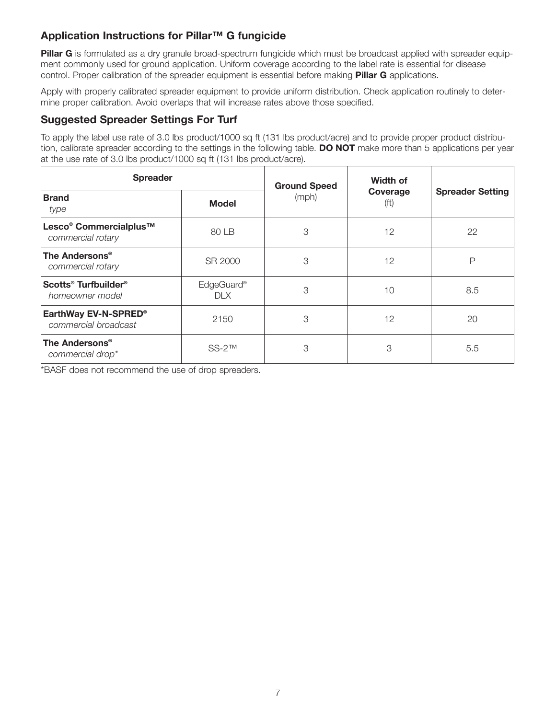# **Application Instructions for Pillar™ G fungicide**

**Pillar G** is formulated as a dry granule broad-spectrum fungicide which must be broadcast applied with spreader equipment commonly used for ground application. Uniform coverage according to the label rate is essential for disease control. Proper calibration of the spreader equipment is essential before making **Pillar G** applications.

Apply with properly calibrated spreader equipment to provide uniform distribution. Check application routinely to determine proper calibration. Avoid overlaps that will increase rates above those specified.

## **Suggested Spreader Settings For Turf**

To apply the label use rate of 3.0 lbs product/1000 sq ft (131 lbs product/acre) and to provide proper product distribution, calibrate spreader according to the settings in the following table. **DO NOT** make more than 5 applications per year at the use rate of 3.0 lbs product/1000 sq ft (131 lbs product/acre).

| <b>Spreader</b>                                                     |                               | <b>Ground Speed</b> | Width of                      |                         |
|---------------------------------------------------------------------|-------------------------------|---------------------|-------------------------------|-------------------------|
| <b>Brand</b><br>type                                                | <b>Model</b>                  | (mph)               | Coverage<br>(f <sup>t</sup> ) | <b>Spreader Setting</b> |
| Lesco <sup>®</sup> Commercialplus <sup>™</sup><br>commercial rotary | 80 LB                         | 3                   | 12                            | 22                      |
| The Andersons <sup>®</sup><br>commercial rotary                     | SR 2000                       | 3                   | 12                            | Р                       |
| Scotts <sup>®</sup> Turfbuilder <sup>®</sup><br>homeowner model     | EdgeGuard <sup>®</sup><br>DIX | 3                   | 10                            | 8.5                     |
| EarthWay EV-N-SPRED®<br>commercial broadcast                        | 2150                          | 3                   | 12                            | 20                      |
| The Andersons <sup>®</sup><br>commercial drop*                      | $SS-2TM$                      | 3                   | 3                             | 5.5                     |

\*BASF does not recommend the use of drop spreaders.